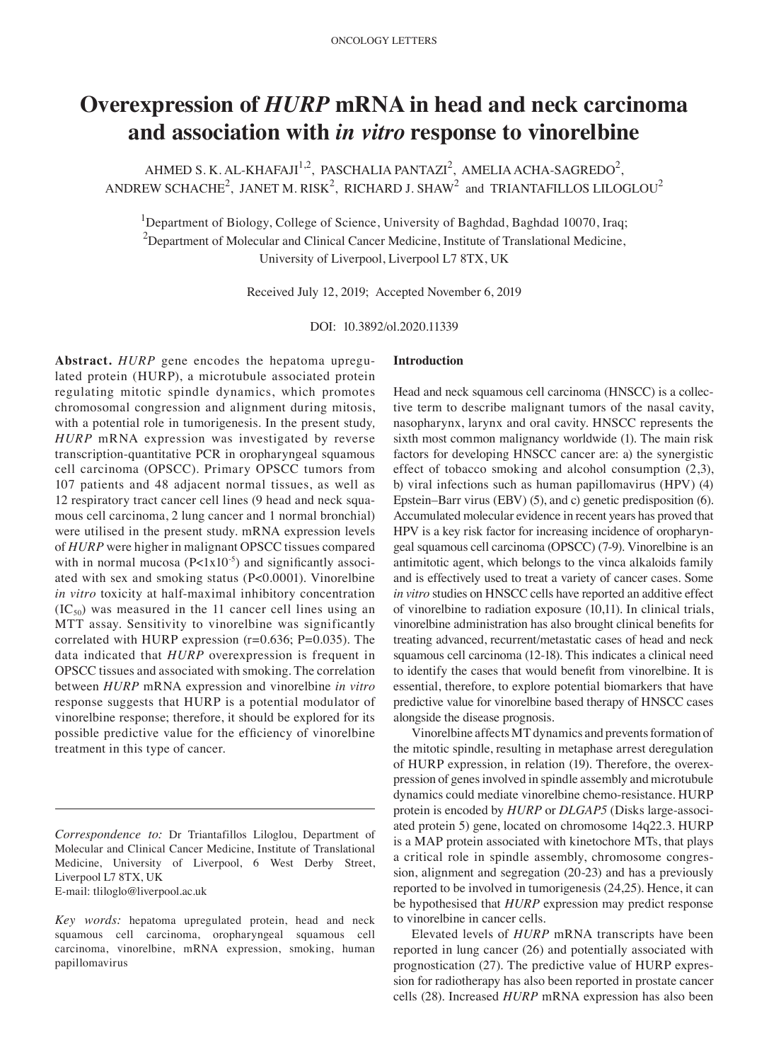# **Overexpression of** *HURP* **mRNA in head and neck carcinoma and association with** *in vitro* **response to vinorelbine**

AHMED S. K. AL-KHAFAJI<sup>1,2</sup>, PASCHALIA PANTAZI<sup>2</sup>, AMELIA ACHA-SAGREDO<sup>2</sup>, ANDREW SCHACHE<sup>2</sup>, JANET M. RISK<sup>2</sup>, RICHARD J. SHAW<sup>2</sup> and TRIANTAFILLOS LILOGLOU<sup>2</sup>

<sup>1</sup>Department of Biology, College of Science, University of Baghdad, Baghdad 10070, Iraq;  $2$ Department of Molecular and Clinical Cancer Medicine, Institute of Translational Medicine, University of Liverpool, Liverpool L7 8TX, UK

Received July 12, 2019; Accepted November 6, 2019

DOI: 10.3892/ol.2020.11339

Abstract. *HURP* gene encodes the hepatoma upregulated protein (HURP), a microtubule associated protein regulating mitotic spindle dynamics, which promotes chromosomal congression and alignment during mitosis, with a potential role in tumorigenesis. In the present study*, HURP* mRNA expression was investigated by reverse transcription‑quantitative PCR in oropharyngeal squamous cell carcinoma (OPSCC). Primary OPSCC tumors from 107 patients and 48 adjacent normal tissues, as well as 12 respiratory tract cancer cell lines (9 head and neck squamous cell carcinoma, 2 lung cancer and 1 normal bronchial) were utilised in the present study. mRNA expression levels of *HURP* were higher in malignant OPSCC tissues compared with in normal mucosa  $(P<1x10^{-5})$  and significantly associated with sex and smoking status (P<0.0001). Vinorelbine *in vitro* toxicity at half-maximal inhibitory concentration  $(IC_{50})$  was measured in the 11 cancer cell lines using an MTT assay. Sensitivity to vinorelbine was significantly correlated with HURP expression ( $r=0.636$ ; P $=0.035$ ). The data indicated that *HURP* overexpression is frequent in OPSCC tissues and associated with smoking. The correlation between *HURP* mRNA expression and vinorelbine *in vitro* response suggests that HURP is a potential modulator of vinorelbine response; therefore, it should be explored for its possible predictive value for the efficiency of vinorelbine treatment in this type of cancer.

*Correspondence to:* Dr Triantafillos Liloglou, Department of Molecular and Clinical Cancer Medicine, Institute of Translational Medicine, University of Liverpool, 6 West Derby Street, Liverpool L7 8TX, UK

E‑mail: tliloglo@liverpool.ac.uk

#### **Introduction**

Head and neck squamous cell carcinoma (HNSCC) is a collective term to describe malignant tumors of the nasal cavity, nasopharynx, larynx and oral cavity. HNSCC represents the sixth most common malignancy worldwide (1). The main risk factors for developing HNSCC cancer are: a) the synergistic effect of tobacco smoking and alcohol consumption (2,3), b) viral infections such as human papillomavirus (HPV) (4) Epstein–Barr virus (EBV) (5), and c) genetic predisposition (6). Accumulated molecular evidence in recent years has proved that HPV is a key risk factor for increasing incidence of oropharyngeal squamous cell carcinoma (OPSCC) (7‑9). Vinorelbine is an antimitotic agent, which belongs to the vinca alkaloids family and is effectively used to treat a variety of cancer cases. Some *in vitro* studies on HNSCC cells have reported an additive effect of vinorelbine to radiation exposure (10,11). In clinical trials, vinorelbine administration has also brought clinical benefits for treating advanced, recurrent/metastatic cases of head and neck squamous cell carcinoma (12‑18). This indicates a clinical need to identify the cases that would benefit from vinorelbine. It is essential, therefore, to explore potential biomarkers that have predictive value for vinorelbine based therapy of HNSCC cases alongside the disease prognosis.

Vinorelbine affects MT dynamics and prevents formation of the mitotic spindle, resulting in metaphase arrest deregulation of HURP expression, in relation (19). Therefore, the overexpression of genes involved in spindle assembly and microtubule dynamics could mediate vinorelbine chemo‑resistance. HURP protein is encoded by *HURP* or *DLGAP5* (Disks large-associated protein 5) gene, located on chromosome 14q22.3. HURP is a MAP protein associated with kinetochore MTs, that plays a critical role in spindle assembly, chromosome congression, alignment and segregation (20‑23) and has a previously reported to be involved in tumorigenesis (24,25). Hence, it can be hypothesised that *HURP* expression may predict response to vinorelbine in cancer cells.

Elevated levels of *HURP* mRNA transcripts have been reported in lung cancer (26) and potentially associated with prognostication (27). The predictive value of HURP expression for radiotherapy has also been reported in prostate cancer cells (28). Increased *HURP* mRNA expression has also been

*Key words:* hepatoma upregulated protein, head and neck squamous cell carcinoma, oropharyngeal squamous cell carcinoma, vinorelbine, mRNA expression, smoking, human papillomavirus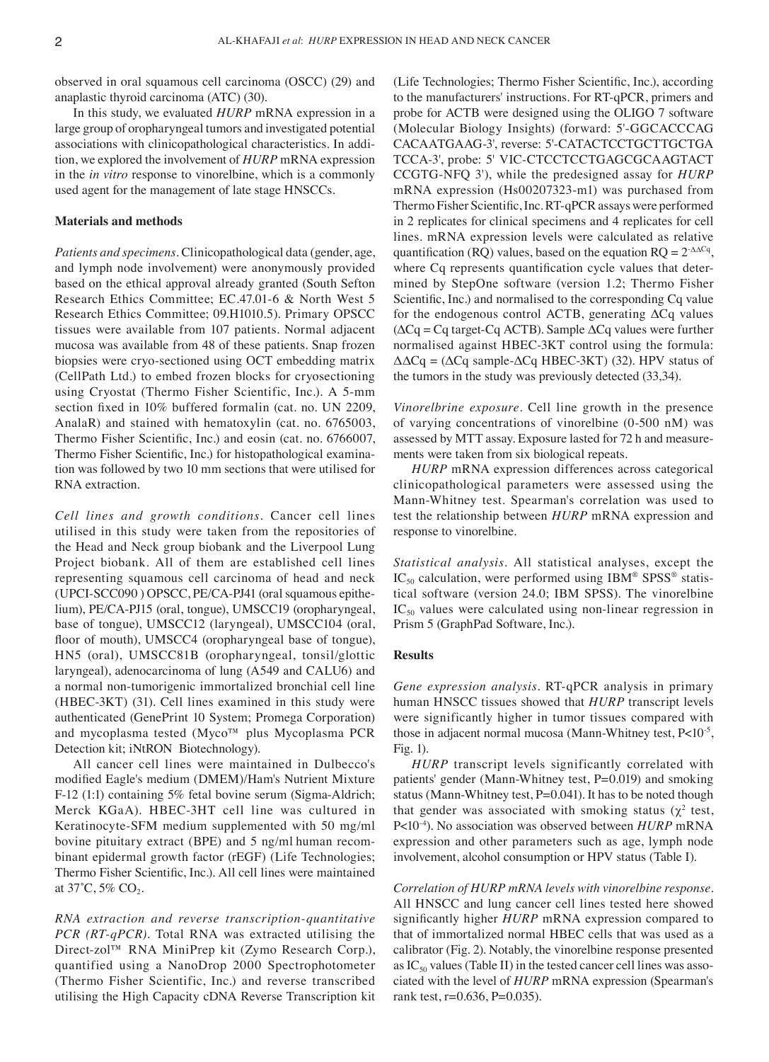observed in oral squamous cell carcinoma (OSCC) (29) and anaplastic thyroid carcinoma (ATC) (30).

In this study, we evaluated *HURP* mRNA expression in a large group of oropharyngeal tumors and investigated potential associations with clinicopathological characteristics. In addition, we explored the involvement of *HURP* mRNA expression in the *in vitro* response to vinorelbine, which is a commonly used agent for the management of late stage HNSCCs.

#### **Materials and methods**

*Patients and specimens.* Clinicopathological data (gender, age, and lymph node involvement) were anonymously provided based on the ethical approval already granted (South Sefton Research Ethics Committee; EC.47.01‑6 & North West 5 Research Ethics Committee; 09.H1010.5). Primary OPSCC tissues were available from 107 patients. Normal adjacent mucosa was available from 48 of these patients. Snap frozen biopsies were cryo‑sectioned using OCT embedding matrix (CellPath Ltd.) to embed frozen blocks for cryosectioning using Cryostat (Thermo Fisher Scientific, Inc.). A 5‑mm section fixed in 10% buffered formalin (cat. no. UN 2209, AnalaR) and stained with hematoxylin (cat. no. 6765003, Thermo Fisher Scientific, Inc.) and eosin (cat. no. 6766007, Thermo Fisher Scientific, Inc.) for histopathological examination was followed by two 10 mm sections that were utilised for RNA extraction.

*Cell lines and growth conditions.* Cancer cell lines utilised in this study were taken from the repositories of the Head and Neck group biobank and the Liverpool Lung Project biobank. All of them are established cell lines representing squamous cell carcinoma of head and neck (UPCI-SCC090) OPSCC, PE/CA-PJ41 (oral squamous epithelium), PE/CA‑PJ15 (oral, tongue), UMSCC19 (oropharyngeal, base of tongue), UMSCC12 (laryngeal), UMSCC104 (oral, floor of mouth), UMSCC4 (oropharyngeal base of tongue), HN5 (oral), UMSCC81B (oropharyngeal, tonsil/glottic laryngeal), adenocarcinoma of lung (A549 and CALU6) and a normal non‑tumorigenic immortalized bronchial cell line (HBEC‑3KT) (31). Cell lines examined in this study were authenticated (GenePrint 10 System; Promega Corporation) and mycoplasma tested (Myco™ plus Mycoplasma PCR Detection kit; iNtRON Biotechnology).

All cancer cell lines were maintained in Dulbecco's modified Eagle's medium (DMEM)/Ham's Nutrient Mixture F-12 (1:1) containing 5% fetal bovine serum (Sigma-Aldrich; Merck KGaA). HBEC‑3HT cell line was cultured in Keratinocyte‑SFM medium supplemented with 50 mg/ml bovine pituitary extract (BPE) and 5 ng/ml human recombinant epidermal growth factor (rEGF) (Life Technologies; Thermo Fisher Scientific, Inc.). All cell lines were maintained at  $37^{\circ}$ C, 5% CO<sub>2</sub>.

*RNA extraction and reverse transcription‑quantitative PCR (RT-qPCR)*. Total RNA was extracted utilising the Direct‑zol™ RNA MiniPrep kit (Zymo Research Corp.), quantified using a NanoDrop 2000 Spectrophotometer (Thermo Fisher Scientific, Inc.) and reverse transcribed utilising the High Capacity cDNA Reverse Transcription kit (Life Technologies; Thermo Fisher Scientific, Inc.), according to the manufacturers' instructions. For RT‑qPCR, primers and probe for ACTB were designed using the OLIGO 7 software (Molecular Biology Insights) (forward: 5'‑GGCACCCAG CACAATGAAG‑3', reverse: 5'‑CATACTCCTGCTTGCTGA TCCA‑3', probe: 5' VIC‑CTCCTCCTGAGCGCAAGTACT CCGTG‑NFQ 3'), while the predesigned assay for *HURP* mRNA expression (Hs00207323‑m1) was purchased from Thermo Fisher Scientific,Inc. RT‑qPCR assays were performed in 2 replicates for clinical specimens and 4 replicates for cell lines. mRNA expression levels were calculated as relative quantification (RQ) values, based on the equation  $RQ = 2^{\Delta\Delta Cq}$ , where Cq represents quantification cycle values that determined by StepOne software (version 1.2; Thermo Fisher Scientific, Inc.) and normalised to the corresponding Cq value for the endogenous control ACTB, generating  $\Delta Cq$  values  $(\Delta Cq = Cq \text{ target-}Cq \text{ ACTB})$ . Sample  $\Delta Cq$  values were further normalised against HBEC‑3KT control using the formula:  $\Delta \Delta Cq = (\Delta Cq \text{ sample} - \Delta Cq \text{ HBEC} - 3\text{KT})$  (32). HPV status of the tumors in the study was previously detected (33,34).

*Vinorelbrine exposure.* Cell line growth in the presence of varying concentrations of vinorelbine (0‑500 nM) was assessed by MTT assay. Exposure lasted for 72 h and measurements were taken from six biological repeats.

*HURP* mRNA expression differences across categorical clinicopathological parameters were assessed using the Mann‑Whitney test. Spearman's correlation was used to test the relationship between *HURP* mRNA expression and response to vinorelbine.

*Statistical analysis.* All statistical analyses, except the  $IC_{50}$  calculation, were performed using IBM® SPSS® statistical software (version 24.0; IBM SPSS). The vinorelbine  $IC_{50}$  values were calculated using non-linear regression in Prism 5 (GraphPad Software, Inc.).

### **Results**

*Gene expression analysis.* RT‑qPCR analysis in primary human HNSCC tissues showed that *HURP* transcript levels were significantly higher in tumor tissues compared with those in adjacent normal mucosa (Mann-Whitney test, P<10<sup>-5</sup>, Fig. 1).

*HURP* transcript levels significantly correlated with patients' gender (Mann‑Whitney test, P=0.019) and smoking status (Mann-Whitney test, P=0.041). It has to be noted though that gender was associated with smoking status ( $\chi^2$  test, P<10‑4). No association was observed between *HURP* mRNA expression and other parameters such as age, lymph node involvement, alcohol consumption or HPV status (Table I).

*Correlation of HURP mRNA levels with vinorelbine response.*  All HNSCC and lung cancer cell lines tested here showed significantly higher *HURP* mRNA expression compared to that of immortalized normal HBEC cells that was used as a calibrator (Fig. 2). Notably, the vinorelbine response presented as  $IC_{50}$  values (Table II) in the tested cancer cell lines was associated with the level of *HURP* mRNA expression (Spearman's rank test, r=0.636, P=0.035).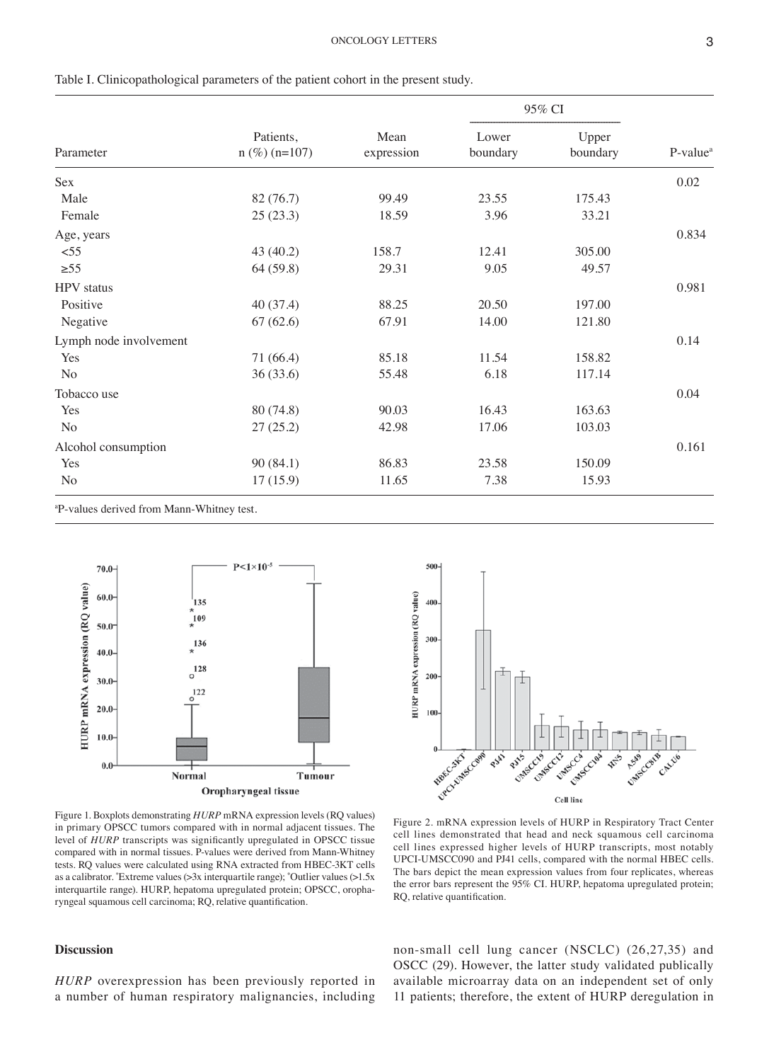| Parameter                                            | Patients,<br>$n$ (%) ( $n=107$ ) | Mean<br>expression | 95% CI            |                   |            |
|------------------------------------------------------|----------------------------------|--------------------|-------------------|-------------------|------------|
|                                                      |                                  |                    | Lower<br>boundary | Upper<br>boundary | $P-valuea$ |
| Sex                                                  |                                  |                    |                   |                   | 0.02       |
| Male                                                 | 82 (76.7)                        | 99.49              | 23.55             | 175.43            |            |
| Female                                               | 25(23.3)                         | 18.59              | 3.96              | 33.21             |            |
| Age, years                                           |                                  |                    |                   |                   | 0.834      |
| < 55                                                 | 43 (40.2)                        | 158.7              | 12.41             | 305.00            |            |
| $\geq 55$                                            | 64 (59.8)                        | 29.31              | 9.05              | 49.57             |            |
| <b>HPV</b> status                                    |                                  |                    |                   |                   | 0.981      |
| Positive                                             | 40(37.4)                         | 88.25              | 20.50             | 197.00            |            |
| Negative                                             | 67(62.6)                         | 67.91              | 14.00             | 121.80            |            |
| Lymph node involvement                               |                                  |                    |                   |                   | 0.14       |
| Yes                                                  | 71 (66.4)                        | 85.18              | 11.54             | 158.82            |            |
| No                                                   | 36(33.6)                         | 55.48              | 6.18              | 117.14            |            |
| Tobacco use                                          |                                  |                    |                   |                   | 0.04       |
| Yes                                                  | 80 (74.8)                        | 90.03              | 16.43             | 163.63            |            |
| No                                                   | 27(25.2)                         | 42.98              | 17.06             | 103.03            |            |
| Alcohol consumption                                  |                                  |                    |                   |                   | 0.161      |
| Yes                                                  | 90(84.1)                         | 86.83              | 23.58             | 150.09            |            |
| No                                                   | 17(15.9)                         | 11.65              | 7.38              | 15.93             |            |
| <sup>a</sup> P-values derived from Mann-Whitney test |                                  |                    |                   |                   |            |

Table I. Clinicopathological parameters of the patient cohort in the present study.

values derived from Mann-Whitney test.





Figure 1. Boxplots demonstrating *HURP* mRNA expression levels (RQ values) in primary OPSCC tumors compared with in normal adjacent tissues. The level of *HURP* transcripts was significantly upregulated in OPSCC tissue compared with in normal tissues. P-values were derived from Mann-Whitney tests. RQ values were calculated using RNA extracted from HBEC‑3KT cells as a calibrator. \* Extreme values (>3x interquartile range); ˚Outlier values (>1.5x interquartile range). HURP, hepatoma upregulated protein; OPSCC, oropharyngeal squamous cell carcinoma; RQ, relative quantification.

Figure 2. mRNA expression levels of HURP in Respiratory Tract Center cell lines demonstrated that head and neck squamous cell carcinoma cell lines expressed higher levels of HURP transcripts, most notably UPCI‑UMSCC090 and PJ41 cells, compared with the normal HBEC cells. The bars depict the mean expression values from four replicates, whereas the error bars represent the 95% CI. HURP, hepatoma upregulated protein; RQ, relative quantification.

# **Discussion**

*HURP* overexpression has been previously reported in a number of human respiratory malignancies, including non‑small cell lung cancer (NSCLC) (26,27,35) and OSCC (29). However, the latter study validated publically available microarray data on an independent set of only 11 patients; therefore, the extent of HURP deregulation in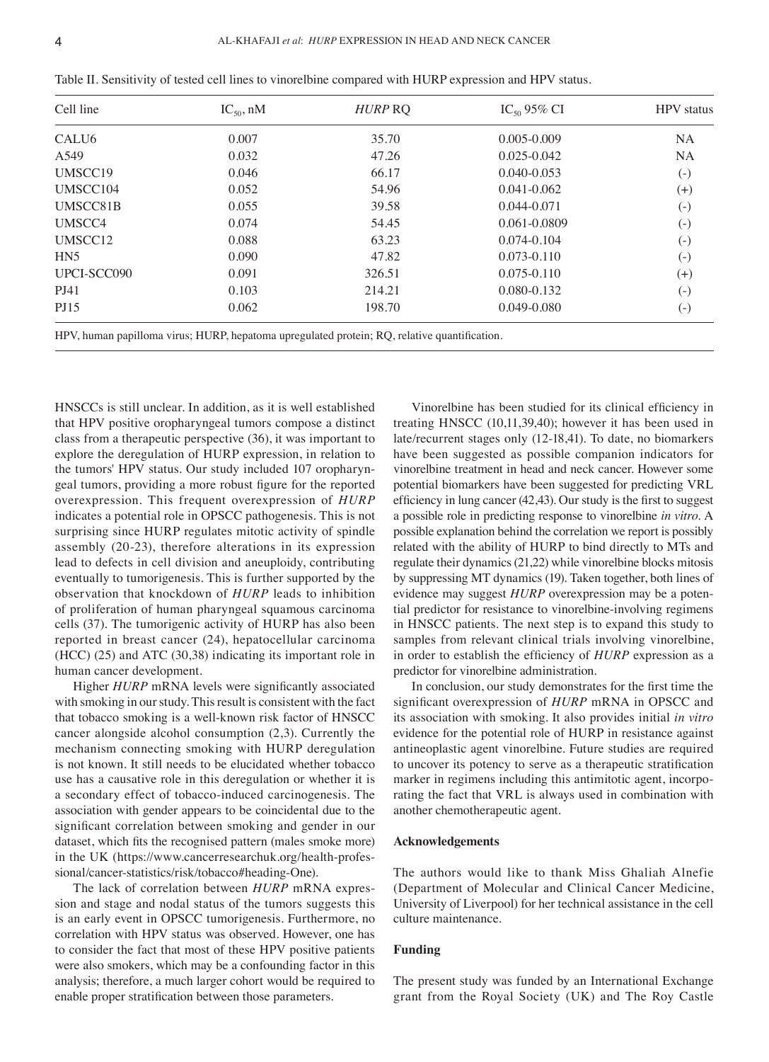| Cell line           | $IC_{50}$ , nM | HURP RO                                                                                          | $IC_{50}$ 95% CI | <b>HPV</b> status |
|---------------------|----------------|--------------------------------------------------------------------------------------------------|------------------|-------------------|
| CALU <sub>6</sub>   | 0.007          | 35.70                                                                                            | $0.005 - 0.009$  | <b>NA</b>         |
| A549                | 0.032          | 47.26                                                                                            | 0.025-0.042      | <b>NA</b>         |
| UMSCC19             | 0.046          | 66.17                                                                                            | $0.040 - 0.053$  | $\left( -\right)$ |
| UMSCC104            | 0.052          | 54.96                                                                                            | $0.041 - 0.062$  | $^{(+)}$          |
| UMSCC81B            | 0.055          | 39.58                                                                                            | 0.044-0.071      | $\left( -\right)$ |
| UMSCC4              | 0.074          | 54.45                                                                                            | 0.061-0.0809     | $\left( -\right)$ |
| UMSCC <sub>12</sub> | 0.088          | 63.23                                                                                            | 0.074-0.104      | $\left( -\right)$ |
| HN <sub>5</sub>     | 0.090          | 47.82                                                                                            | $0.073 - 0.110$  | $\left( -\right)$ |
| UPCI-SCC090         | 0.091          | 326.51                                                                                           | $0.075 - 0.110$  | $^{(+)}$          |
| <b>PJ41</b>         | 0.103          | 214.21                                                                                           | $0.080 - 0.132$  | $\left( -\right)$ |
| <b>PJ15</b>         | 0.062          | 198.70                                                                                           | 0.049-0.080      | $\left( -\right)$ |
|                     |                | $HDV$ burner penillome virue: $HIDD$ beneforme upreculated protein: $DO$ relative quantification |                  |                   |

Table II. Sensitivity of tested cell lines to vinorelbine compared with HURP expression and HPV status.

HPV, human papilloma virus; HURP, hepatoma upregulated protein; RQ, relative quantification.

HNSCCs is still unclear. In addition, as it is well established that HPV positive oropharyngeal tumors compose a distinct class from a therapeutic perspective (36), it was important to explore the deregulation of HURP expression, in relation to the tumors' HPV status. Our study included 107 oropharyngeal tumors, providing a more robust figure for the reported overexpression. This frequent overexpression of *HURP* indicates a potential role in OPSCC pathogenesis. This is not surprising since HURP regulates mitotic activity of spindle assembly (20‑23), therefore alterations in its expression lead to defects in cell division and aneuploidy, contributing eventually to tumorigenesis. This is further supported by the observation that knockdown of *HURP* leads to inhibition of proliferation of human pharyngeal squamous carcinoma cells (37). The tumorigenic activity of HURP has also been reported in breast cancer (24), hepatocellular carcinoma (HCC) (25) and ATC (30,38) indicating its important role in human cancer development.

Higher *HURP* mRNA levels were significantly associated with smoking in our study. This result is consistent with the fact that tobacco smoking is a well-known risk factor of HNSCC cancer alongside alcohol consumption (2,3). Currently the mechanism connecting smoking with HURP deregulation is not known. It still needs to be elucidated whether tobacco use has a causative role in this deregulation or whether it is a secondary effect of tobacco‑induced carcinogenesis. The association with gender appears to be coincidental due to the significant correlation between smoking and gender in our dataset, which fits the recognised pattern (males smoke more) in the UK (https://www.cancerresearchuk.org/health-professional/cancer-statistics/risk/tobacco#heading-One).

The lack of correlation between *HURP* mRNA expression and stage and nodal status of the tumors suggests this is an early event in OPSCC tumorigenesis. Furthermore, no correlation with HPV status was observed. However, one has to consider the fact that most of these HPV positive patients were also smokers, which may be a confounding factor in this analysis; therefore, a much larger cohort would be required to enable proper stratification between those parameters.

Vinorelbine has been studied for its clinical efficiency in treating HNSCC (10,11,39,40); however it has been used in late/recurrent stages only (12‑18,41). To date, no biomarkers have been suggested as possible companion indicators for vinorelbine treatment in head and neck cancer. However some potential biomarkers have been suggested for predicting VRL efficiency in lung cancer (42,43). Our study is the first to suggest a possible role in predicting response to vinorelbine *in vitro*. A possible explanation behind the correlation we report is possibly related with the ability of HURP to bind directly to MTs and regulate their dynamics(21,22) while vinorelbine blocks mitosis by suppressing MT dynamics (19). Taken together, both lines of evidence may suggest *HURP* overexpression may be a potential predictor for resistance to vinorelbine‑involving regimens in HNSCC patients. The next step is to expand this study to samples from relevant clinical trials involving vinorelbine, in order to establish the efficiency of *HURP* expression as a predictor for vinorelbine administration.

In conclusion, our study demonstrates for the first time the significant overexpression of *HURP* mRNA in OPSCC and its association with smoking. It also provides initial *in vitro* evidence for the potential role of HURP in resistance against antineoplastic agent vinorelbine. Future studies are required to uncover its potency to serve as a therapeutic stratification marker in regimens including this antimitotic agent, incorporating the fact that VRL is always used in combination with another chemotherapeutic agent.

## **Acknowledgements**

The authors would like to thank Miss Ghaliah Alnefie (Department of Molecular and Clinical Cancer Medicine, University of Liverpool) for her technical assistance in the cell culture maintenance.

#### **Funding**

The present study was funded by an International Exchange grant from the Royal Society (UK) and The Roy Castle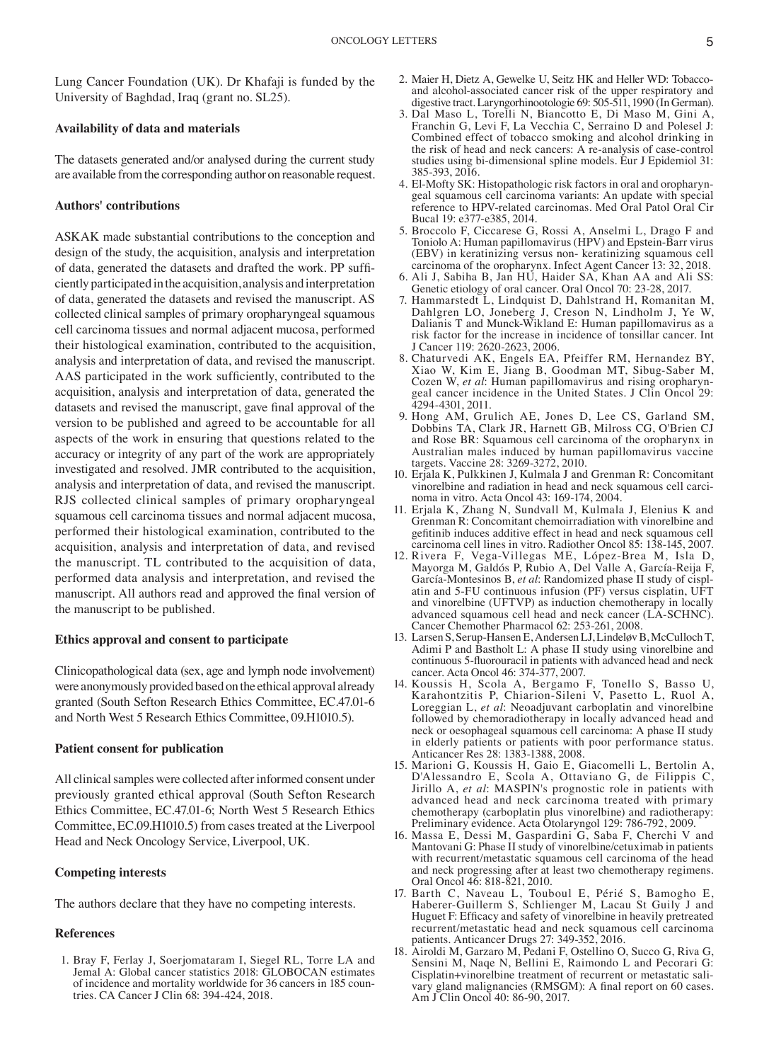Lung Cancer Foundation (UK). Dr Khafaji is funded by the University of Baghdad, Iraq (grant no. SL25).

### **Availability of data and materials**

The datasets generated and/or analysed during the current study are available from the corresponding author on reasonable request.

### **Authors' contributions**

ASKAK made substantial contributions to the conception and design of the study, the acquisition, analysis and interpretation of data, generated the datasets and drafted the work. PP sufficiently participated in the acquisition, analysis and interpretation of data, generated the datasets and revised the manuscript. AS collected clinical samples of primary oropharyngeal squamous cell carcinoma tissues and normal adjacent mucosa, performed their histological examination, contributed to the acquisition, analysis and interpretation of data, and revised the manuscript. AAS participated in the work sufficiently, contributed to the acquisition, analysis and interpretation of data, generated the datasets and revised the manuscript, gave final approval of the version to be published and agreed to be accountable for all aspects of the work in ensuring that questions related to the accuracy or integrity of any part of the work are appropriately investigated and resolved. JMR contributed to the acquisition, analysis and interpretation of data, and revised the manuscript. RJS collected clinical samples of primary oropharyngeal squamous cell carcinoma tissues and normal adjacent mucosa, performed their histological examination, contributed to the acquisition, analysis and interpretation of data, and revised the manuscript. TL contributed to the acquisition of data, performed data analysis and interpretation, and revised the manuscript. All authors read and approved the final version of the manuscript to be published.

### **Ethics approval and consent to participate**

Clinicopathological data (sex, age and lymph node involvement) were anonymously provided based on the ethical approval already granted (South Sefton Research Ethics Committee, EC.47.01‑6 and North West 5 Research Ethics Committee, 09.H1010.5).

# **Patient consent for publication**

All clinical samples were collected after informed consent under previously granted ethical approval (South Sefton Research Ethics Committee, EC.47.01‑6; North West 5 Research Ethics Committee, EC.09.H1010.5) from cases treated at the Liverpool Head and Neck Oncology Service, Liverpool, UK.

### **Competing interests**

The authors declare that they have no competing interests.

## **References**

1. Bray F, Ferlay J, Soerjomataram I, Siegel RL, Torre LA and Jemal A: Global cancer statistics 2018: GLOBOCAN estimates of incidence and mortality worldwide for 36 cancers in 185 countries. CA Cancer J Clin 68: 394-424, 2018.

- 2. Maier H, Dietz A, Gewelke U, Seitz HK and Heller WD: Tobaccoand alcohol-associated cancer risk of the upper respiratory and digestive tract. Laryngorhinootologie 69: 505‑511, 1990 (In German).
- 3. Dal Maso L, Torelli N, Biancotto E, Di Maso M, Gini A, Franchin G, Levi F, La Vecchia C, Serraino D and Polesel J: Combined effect of tobacco smoking and alcohol drinking in the risk of head and neck cancers: A re‑analysis of case‑control studies using bi-dimensional spline models. Eur J Epidemiol 31: 385‑393, 2016.
- 4. El-Mofty SK: Histopathologic risk factors in oral and oropharyngeal squamous cell carcinoma variants: An update with special reference to HPV‑related carcinomas. Med Oral Patol Oral Cir Bucal 19: e377‑e385, 2014.
- 5. Broccolo F, Ciccarese G, Rossi A, Anselmi L, Drago F and Toniolo A: Human papillomavirus (HPV) and Epstein‑Barr virus (EBV) in keratinizing versus non‑ keratinizing squamous cell carcinoma of the oropharynx. Infect Agent Cancer 13: 32, 2018.
- 6. Ali J, Sabiha B, Jan HU, Haider SA, Khan AA and Ali SS: Genetic etiology of oral cancer. Oral Oncol 70: 23‑28, 2017.
- 7. Hammarstedt L, Lindquist D, Dahlstrand H, Romanitan M, Dahlgren LO, Joneberg J, Creson N, Lindholm J, Ye W, Dalianis T and Munck‑Wikland E: Human papillomavirus as a risk factor for the increase in incidence of tonsillar cancer. Int J Cancer 119: 2620‑2623, 2006.
- 8. Chaturvedi AK, Engels EA, Pfeiffer RM, Hernandez BY, Xiao W, Kim E, Jiang B, Goodman MT, Sibug‑Saber M, Cozen W, et al: Human papillomavirus and rising oropharyngeal cancer incidence in the United States. J Clin Oncol 29: 4294‑4301, 2011.
- 9. Hong AM, Grulich AE, Jones D, Lee CS, Garland SM, Dobbins TA, Clark JR, Harnett GB, Milross CG, O'Brien CJ and Rose BR: Squamous cell carcinoma of the oropharynx in Australian males induced by human papillomavirus vaccine targets. Vaccine 28: 3269‑3272, 2010.
- 10. Erjala K, Pulkkinen J, Kulmala J and Grenman R: Concomitant vinorelbine and radiation in head and neck squamous cell carcinoma in vitro. Acta Oncol 43: 169‑174, 2004.
- 11. Erjala K, Zhang N, Sundvall M, Kulmala J, Elenius K and Grenman R: Concomitant chemoirradiation with vinorelbine and gefitinib induces additive effect in head and neck squamous cell carcinoma cell lines in vitro. Radiother Oncol 85: 138‑145, 2007.
- 12. Rivera F, Vega‑Villegas ME, López‑Brea M, Isla D, Mayorga M, Galdós P, Rubio A, Del Valle A, García‑Reija F, García-Montesinos B, et al: Randomized phase II study of cisplatin and 5‑FU continuous infusion (PF) versus cisplatin, UFT and vinorelbine (UFTVP) as induction chemotherapy in locally advanced squamous cell head and neck cancer (LA‑SCHNC). Cancer Chemother Pharmacol 62: 253‑261, 2008.
- 13. Larsen S, Serup-Hansen E, Andersen LJ, Lindeløv B, McCulloch T, Adimi P and Bastholt L: A phase II study using vinorelbine and continuous 5‑fluorouracil in patients with advanced head and neck cancer. Acta Oncol 46: 374‑377, 2007.
- 14. Koussis H, Scola A, Bergamo F, Tonello S, Basso U, Karahontzitis P, Chiarion‑Sileni V, Pasetto L, Ruol A, Loreggian L, *et al*: Neoadjuvant carboplatin and vinorelbine followed by chemoradiotherapy in locally advanced head and neck or oesophageal squamous cell carcinoma: A phase II study in elderly patients or patients with poor performance status. Anticancer Res 28: 1383‑1388, 2008.
- 15. Marioni G, Koussis H, Gaio E, Giacomelli L, Bertolin A, D'Alessandro E, Scola A, Ottaviano G, de Filippis C, Jirillo A, *et al*: MASPIN's prognostic role in patients with advanced head and neck carcinoma treated with primary chemotherapy (carboplatin plus vinorelbine) and radiotherapy: Preliminary evidence. Acta Otolaryngol 129: 786‑792, 2009.
- 16. Massa E, Dessi M, Gaspardini G, Saba F, Cherchi V and Mantovani G: Phase II study of vinorelbine/cetuximab in patients with recurrent/metastatic squamous cell carcinoma of the head and neck progressing after at least two chemotherapy regimens. Oral Oncol 46: 818‑821, 2010.
- 17. Barth C, Naveau L, Touboul E, Périé S, Bamogho E, Haberer‑Guillerm S, Schlienger M, Lacau St Guily J and Huguet F: Efficacy and safety of vinorelbine in heavily pretreated recurrent/metastatic head and neck squamous cell carcinoma patients. Anticancer Drugs 27: 349‑352, 2016.
- 18. Airoldi M, Garzaro M, Pedani F, Ostellino O, Succo G, Riva G, Sensini M, Naqe N, Bellini E, Raimondo L and Pecorari G: Cisplatin+vinorelbine treatment of recurrent or metastatic sali‑ vary gland malignancies (RMSGM): A final report on 60 cases. Am J Clin Oncol 40: 86‑90, 2017.